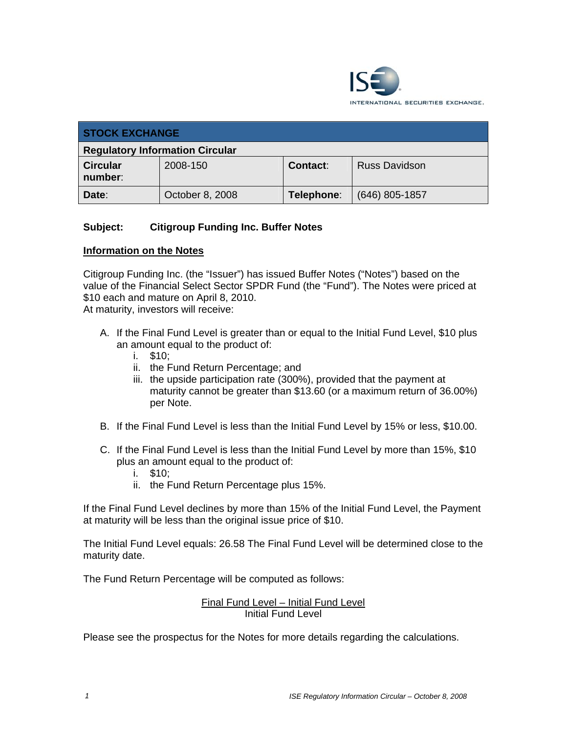

| <b>STOCK EXCHANGE</b>                  |                 |            |                      |
|----------------------------------------|-----------------|------------|----------------------|
| <b>Regulatory Information Circular</b> |                 |            |                      |
| <b>Circular</b><br>number:             | 2008-150        | Contact:   | <b>Russ Davidson</b> |
| Date:                                  | October 8, 2008 | Telephone: | $(646)$ 805-1857     |

# **Subject: Citigroup Funding Inc. Buffer Notes**

#### **Information on the Notes**

Citigroup Funding Inc. (the "Issuer") has issued Buffer Notes ("Notes") based on the value of the Financial Select Sector SPDR Fund (the "Fund"). The Notes were priced at \$10 each and mature on April 8, 2010.

At maturity, investors will receive:

- A. If the Final Fund Level is greater than or equal to the Initial Fund Level, \$10 plus an amount equal to the product of:
	- i. \$10;
	- ii. the Fund Return Percentage; and
	- iii. the upside participation rate (300%), provided that the payment at maturity cannot be greater than \$13.60 (or a maximum return of 36.00%) per Note.
- B. If the Final Fund Level is less than the Initial Fund Level by 15% or less, \$10.00.
- C. If the Final Fund Level is less than the Initial Fund Level by more than 15%, \$10 plus an amount equal to the product of:
	- i. \$10;
	- ii. the Fund Return Percentage plus 15%.

If the Final Fund Level declines by more than 15% of the Initial Fund Level, the Payment at maturity will be less than the original issue price of \$10.

The Initial Fund Level equals: 26.58 The Final Fund Level will be determined close to the maturity date.

The Fund Return Percentage will be computed as follows:

Final Fund Level – Initial Fund Level Initial Fund Level

Please see the prospectus for the Notes for more details regarding the calculations.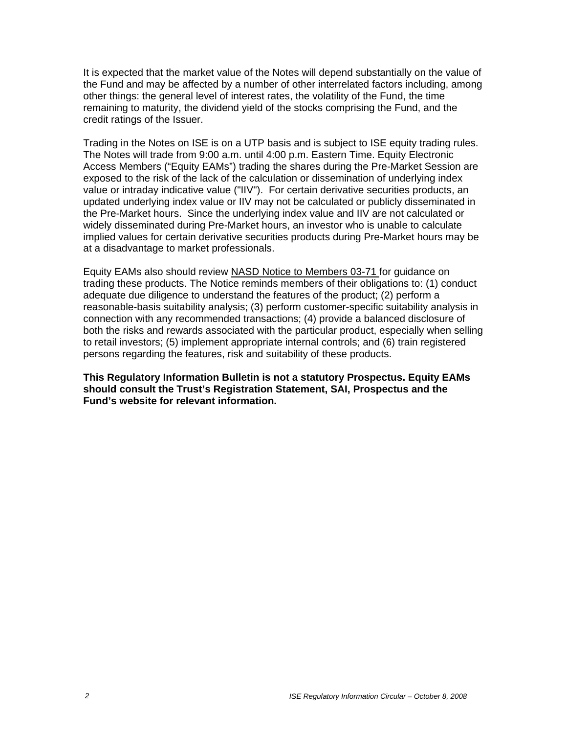It is expected that the market value of the Notes will depend substantially on the value of the Fund and may be affected by a number of other interrelated factors including, among other things: the general level of interest rates, the volatility of the Fund, the time remaining to maturity, the dividend yield of the stocks comprising the Fund, and the credit ratings of the Issuer.

Trading in the Notes on ISE is on a UTP basis and is subject to ISE equity trading rules. The Notes will trade from 9:00 a.m. until 4:00 p.m. Eastern Time. Equity Electronic Access Members ("Equity EAMs") trading the shares during the Pre-Market Session are exposed to the risk of the lack of the calculation or dissemination of underlying index value or intraday indicative value ("IIV"). For certain derivative securities products, an updated underlying index value or IIV may not be calculated or publicly disseminated in the Pre-Market hours. Since the underlying index value and IIV are not calculated or widely disseminated during Pre-Market hours, an investor who is unable to calculate implied values for certain derivative securities products during Pre-Market hours may be at a disadvantage to market professionals.

Equity EAMs also should review NASD Notice to Members 03-71 for guidance on trading these products. The Notice reminds members of their obligations to: (1) conduct adequate due diligence to understand the features of the product; (2) perform a reasonable-basis suitability analysis; (3) perform customer-specific suitability analysis in connection with any recommended transactions; (4) provide a balanced disclosure of both the risks and rewards associated with the particular product, especially when selling to retail investors; (5) implement appropriate internal controls; and (6) train registered persons regarding the features, risk and suitability of these products.

**This Regulatory Information Bulletin is not a statutory Prospectus. Equity EAMs should consult the Trust's Registration Statement, SAI, Prospectus and the Fund's website for relevant information.**